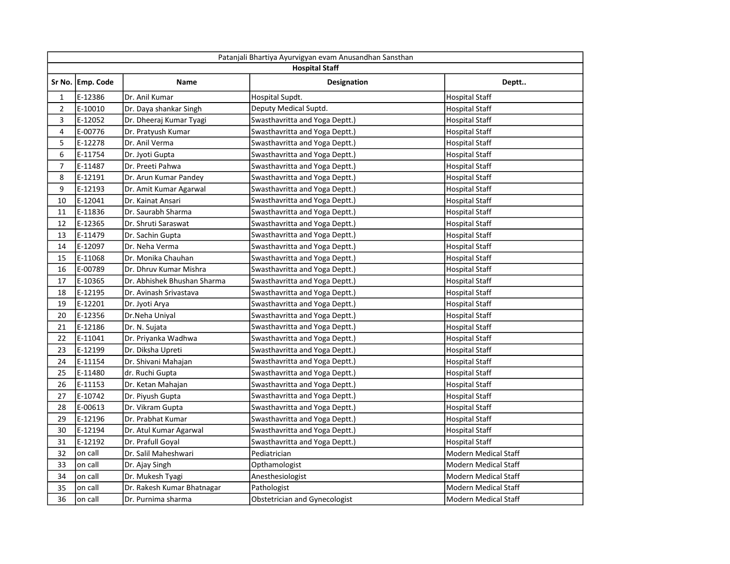|                | Patanjali Bhartiya Ayurvigyan evam Anusandhan Sansthan<br><b>Hospital Staff</b> |                             |                                      |                             |  |
|----------------|---------------------------------------------------------------------------------|-----------------------------|--------------------------------------|-----------------------------|--|
|                | Sr No. Emp. Code                                                                | Name                        | Designation                          | Deptt                       |  |
| 1              | E-12386                                                                         | Dr. Anil Kumar              | Hospital Supdt.                      | <b>Hospital Staff</b>       |  |
| $\overline{2}$ | E-10010                                                                         | Dr. Daya shankar Singh      | Deputy Medical Suptd.                | <b>Hospital Staff</b>       |  |
| 3              | E-12052                                                                         | Dr. Dheeraj Kumar Tyagi     | Swasthavritta and Yoga Deptt.)       | <b>Hospital Staff</b>       |  |
| 4              | E-00776                                                                         | Dr. Pratyush Kumar          | Swasthavritta and Yoga Deptt.)       | <b>Hospital Staff</b>       |  |
| 5              | E-12278                                                                         | Dr. Anil Verma              | Swasthavritta and Yoga Deptt.)       | <b>Hospital Staff</b>       |  |
| 6              | E-11754                                                                         | Dr. Jyoti Gupta             | Swasthavritta and Yoga Deptt.)       | <b>Hospital Staff</b>       |  |
| $\overline{7}$ | E-11487                                                                         | Dr. Preeti Pahwa            | Swasthavritta and Yoga Deptt.)       | <b>Hospital Staff</b>       |  |
| 8              | E-12191                                                                         | Dr. Arun Kumar Pandey       | Swasthavritta and Yoga Deptt.)       | <b>Hospital Staff</b>       |  |
| 9              | E-12193                                                                         | Dr. Amit Kumar Agarwal      | Swasthavritta and Yoga Deptt.)       | <b>Hospital Staff</b>       |  |
| 10             | E-12041                                                                         | Dr. Kainat Ansari           | Swasthavritta and Yoga Deptt.)       | <b>Hospital Staff</b>       |  |
| 11             | E-11836                                                                         | Dr. Saurabh Sharma          | Swasthavritta and Yoga Deptt.)       | <b>Hospital Staff</b>       |  |
| 12             | E-12365                                                                         | Dr. Shruti Saraswat         | Swasthavritta and Yoga Deptt.)       | <b>Hospital Staff</b>       |  |
| 13             | E-11479                                                                         | Dr. Sachin Gupta            | Swasthavritta and Yoga Deptt.)       | <b>Hospital Staff</b>       |  |
| 14             | E-12097                                                                         | Dr. Neha Verma              | Swasthavritta and Yoga Deptt.)       | <b>Hospital Staff</b>       |  |
| 15             | E-11068                                                                         | Dr. Monika Chauhan          | Swasthavritta and Yoga Deptt.)       | Hospital Staff              |  |
| 16             | E-00789                                                                         | Dr. Dhruv Kumar Mishra      | Swasthavritta and Yoga Deptt.)       | <b>Hospital Staff</b>       |  |
| 17             | E-10365                                                                         | Dr. Abhishek Bhushan Sharma | Swasthavritta and Yoga Deptt.)       | <b>Hospital Staff</b>       |  |
| 18             | E-12195                                                                         | Dr. Avinash Srivastava      | Swasthavritta and Yoga Deptt.)       | <b>Hospital Staff</b>       |  |
| 19             | E-12201                                                                         | Dr. Jyoti Arya              | Swasthavritta and Yoga Deptt.)       | Hospital Staff              |  |
| 20             | E-12356                                                                         | Dr.Neha Uniyal              | Swasthavritta and Yoga Deptt.)       | <b>Hospital Staff</b>       |  |
| 21             | E-12186                                                                         | Dr. N. Sujata               | Swasthavritta and Yoga Deptt.)       | <b>Hospital Staff</b>       |  |
| 22             | E-11041                                                                         | Dr. Priyanka Wadhwa         | Swasthavritta and Yoga Deptt.)       | <b>Hospital Staff</b>       |  |
| 23             | E-12199                                                                         | Dr. Diksha Upreti           | Swasthavritta and Yoga Deptt.)       | <b>Hospital Staff</b>       |  |
| 24             | E-11154                                                                         | Dr. Shivani Mahajan         | Swasthavritta and Yoga Deptt.)       | <b>Hospital Staff</b>       |  |
| 25             | E-11480                                                                         | dr. Ruchi Gupta             | Swasthavritta and Yoga Deptt.)       | <b>Hospital Staff</b>       |  |
| 26             | E-11153                                                                         | Dr. Ketan Mahajan           | Swasthavritta and Yoga Deptt.)       | <b>Hospital Staff</b>       |  |
| 27             | E-10742                                                                         | Dr. Piyush Gupta            | Swasthavritta and Yoga Deptt.)       | <b>Hospital Staff</b>       |  |
| 28             | E-00613                                                                         | Dr. Vikram Gupta            | Swasthavritta and Yoga Deptt.)       | <b>Hospital Staff</b>       |  |
| 29             | E-12196                                                                         | Dr. Prabhat Kumar           | Swasthavritta and Yoga Deptt.)       | <b>Hospital Staff</b>       |  |
| 30             | E-12194                                                                         | Dr. Atul Kumar Agarwal      | Swasthavritta and Yoga Deptt.)       | <b>Hospital Staff</b>       |  |
| 31             | E-12192                                                                         | Dr. Prafull Goyal           | Swasthavritta and Yoga Deptt.)       | <b>Hospital Staff</b>       |  |
| 32             | on call                                                                         | Dr. Salil Maheshwari        | Pediatrician                         | <b>Modern Medical Staff</b> |  |
| 33             | on call                                                                         | Dr. Ajay Singh              | Opthamologist                        | <b>Modern Medical Staff</b> |  |
| 34             | on call                                                                         | Dr. Mukesh Tyagi            | Anesthesiologist                     | <b>Modern Medical Staff</b> |  |
| 35             | on call                                                                         | Dr. Rakesh Kumar Bhatnagar  | Pathologist                          | <b>Modern Medical Staff</b> |  |
| 36             | on call                                                                         | Dr. Purnima sharma          | <b>Obstetrician and Gynecologist</b> | <b>Modern Medical Staff</b> |  |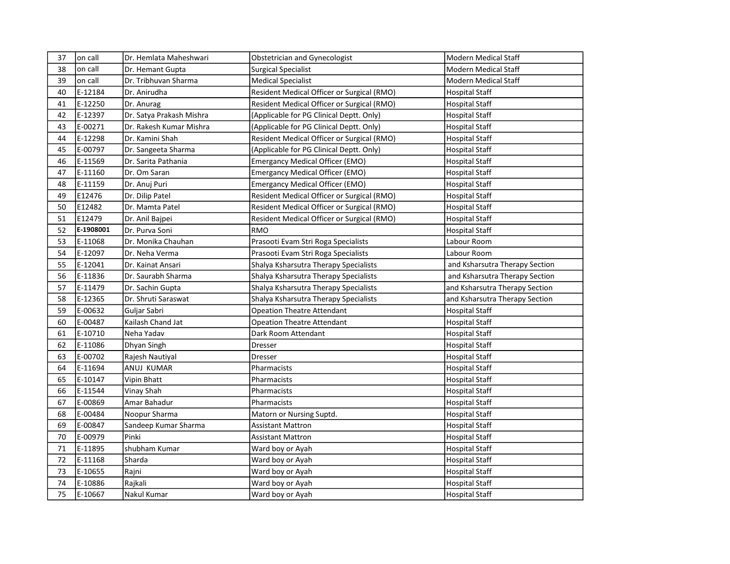| 37 | on call   | Dr. Hemlata Maheshwari   | Obstetrician and Gynecologist              | Modern Medical Staff           |
|----|-----------|--------------------------|--------------------------------------------|--------------------------------|
| 38 | on call   | Dr. Hemant Gupta         | <b>Surgical Specialist</b>                 | <b>Modern Medical Staff</b>    |
| 39 | on call   | Dr. Tribhuvan Sharma     | <b>Medical Specialist</b>                  | <b>Modern Medical Staff</b>    |
| 40 | E-12184   | Dr. Anirudha             | Resident Medical Officer or Surgical (RMO) | <b>Hospital Staff</b>          |
| 41 | E-12250   | Dr. Anurag               | Resident Medical Officer or Surgical (RMO) | <b>Hospital Staff</b>          |
| 42 | E-12397   | Dr. Satya Prakash Mishra | (Applicable for PG Clinical Deptt. Only)   | <b>Hospital Staff</b>          |
| 43 | E-00271   | Dr. Rakesh Kumar Mishra  | (Applicable for PG Clinical Deptt. Only)   | <b>Hospital Staff</b>          |
| 44 | E-12298   | Dr. Kamini Shah          | Resident Medical Officer or Surgical (RMO) | <b>Hospital Staff</b>          |
| 45 | E-00797   | Dr. Sangeeta Sharma      | (Applicable for PG Clinical Deptt. Only)   | <b>Hospital Staff</b>          |
| 46 | E-11569   | Dr. Sarita Pathania      | <b>Emergancy Medical Officer (EMO)</b>     | <b>Hospital Staff</b>          |
| 47 | E-11160   | Dr. Om Saran             | <b>Emergancy Medical Officer (EMO)</b>     | <b>Hospital Staff</b>          |
| 48 | E-11159   | Dr. Anuj Puri            | <b>Emergancy Medical Officer (EMO)</b>     | Hospital Staff                 |
| 49 | E12476    | Dr. Dilip Patel          | Resident Medical Officer or Surgical (RMO) | <b>Hospital Staff</b>          |
| 50 | E12482    | Dr. Mamta Patel          | Resident Medical Officer or Surgical (RMO) | <b>Hospital Staff</b>          |
| 51 | E12479    | Dr. Anil Bajpei          | Resident Medical Officer or Surgical (RMO) | <b>Hospital Staff</b>          |
| 52 | E-1908001 | Dr. Purva Soni           | <b>RMO</b>                                 | <b>Hospital Staff</b>          |
| 53 | E-11068   | Dr. Monika Chauhan       | Prasooti Evam Stri Roga Specialists        | Labour Room                    |
| 54 | E-12097   | Dr. Neha Verma           | Prasooti Evam Stri Roga Specialists        | Labour Room                    |
| 55 | E-12041   | Dr. Kainat Ansari        | Shalya Ksharsutra Therapy Specialists      | and Ksharsutra Therapy Section |
| 56 | E-11836   | Dr. Saurabh Sharma       | Shalya Ksharsutra Therapy Specialists      | and Ksharsutra Therapy Section |
| 57 | E-11479   | Dr. Sachin Gupta         | Shalya Ksharsutra Therapy Specialists      | and Ksharsutra Therapy Section |
| 58 | E-12365   | Dr. Shruti Saraswat      | Shalya Ksharsutra Therapy Specialists      | and Ksharsutra Therapy Section |
| 59 | E-00632   | Guljar Sabri             | <b>Opeation Theatre Attendant</b>          | <b>Hospital Staff</b>          |
| 60 | E-00487   | Kailash Chand Jat        | <b>Opeation Theatre Attendant</b>          | Hospital Staff                 |
| 61 | E-10710   | Neha Yadav               | Dark Room Attendant                        | <b>Hospital Staff</b>          |
| 62 | E-11086   | Dhyan Singh              | Dresser                                    | <b>Hospital Staff</b>          |
| 63 | E-00702   | Rajesh Nautiyal          | Dresser                                    | <b>Hospital Staff</b>          |
| 64 | E-11694   | ANUJ KUMAR               | Pharmacists                                | <b>Hospital Staff</b>          |
| 65 | E-10147   | Vipin Bhatt              | Pharmacists                                | <b>Hospital Staff</b>          |
| 66 | E-11544   | Vinay Shah               | Pharmacists                                | <b>Hospital Staff</b>          |
| 67 | E-00869   | Amar Bahadur             | Pharmacists                                | <b>Hospital Staff</b>          |
| 68 | E-00484   | Noopur Sharma            | Matorn or Nursing Suptd.                   | <b>Hospital Staff</b>          |
| 69 | E-00847   | Sandeep Kumar Sharma     | Assistant Mattron                          | <b>Hospital Staff</b>          |
| 70 | E-00979   | Pinki                    | <b>Assistant Mattron</b>                   | <b>Hospital Staff</b>          |
| 71 | E-11895   | shubham Kumar            | Ward boy or Ayah                           | <b>Hospital Staff</b>          |
| 72 | E-11168   | Sharda                   | Ward boy or Ayah                           | <b>Hospital Staff</b>          |
| 73 | E-10655   | Rajni                    | Ward boy or Ayah                           | <b>Hospital Staff</b>          |
| 74 | E-10886   | Rajkali                  | Ward boy or Ayah                           | <b>Hospital Staff</b>          |
| 75 | E-10667   | Nakul Kumar              | Ward boy or Ayah                           | <b>Hospital Staff</b>          |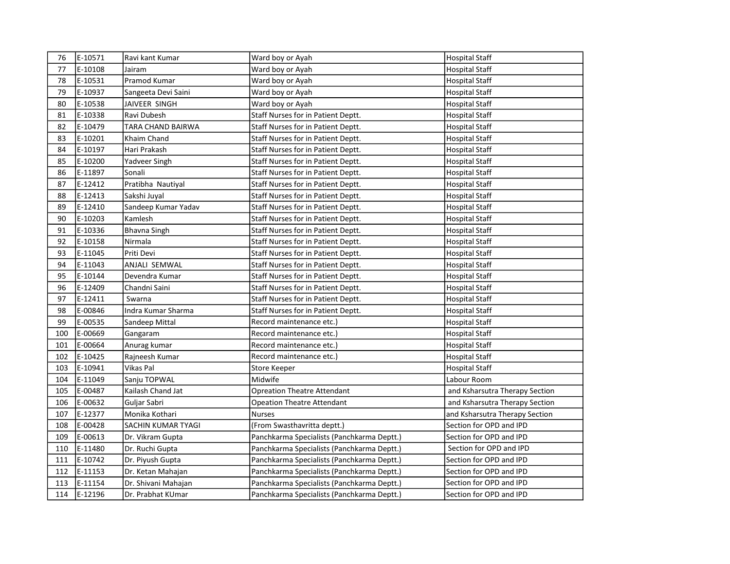| 76  | E-10571 | Ravi kant Kumar     | Ward boy or Ayah                           | <b>Hospital Staff</b>          |
|-----|---------|---------------------|--------------------------------------------|--------------------------------|
| 77  | E-10108 | Jairam              | Ward boy or Ayah                           | <b>Hospital Staff</b>          |
| 78  | E-10531 | Pramod Kumar        | Ward boy or Ayah                           | <b>Hospital Staff</b>          |
| 79  | E-10937 | Sangeeta Devi Saini | Ward boy or Ayah                           | <b>Hospital Staff</b>          |
| 80  | E-10538 | JAIVEER SINGH       | Ward boy or Ayah                           | <b>Hospital Staff</b>          |
| 81  | E-10338 | Ravi Dubesh         | Staff Nurses for in Patient Deptt.         | <b>Hospital Staff</b>          |
| 82  | E-10479 | TARA CHAND BAIRWA   | Staff Nurses for in Patient Deptt.         | <b>Hospital Staff</b>          |
| 83  | E-10201 | Khaim Chand         | Staff Nurses for in Patient Deptt.         | <b>Hospital Staff</b>          |
| 84  | E-10197 | Hari Prakash        | Staff Nurses for in Patient Deptt.         | <b>Hospital Staff</b>          |
| 85  | E-10200 | Yadveer Singh       | Staff Nurses for in Patient Deptt.         | <b>Hospital Staff</b>          |
| 86  | E-11897 | Sonali              | Staff Nurses for in Patient Deptt.         | <b>Hospital Staff</b>          |
| 87  | E-12412 | Pratibha Nautiyal   | Staff Nurses for in Patient Deptt.         | <b>Hospital Staff</b>          |
| 88  | E-12413 | Sakshi Juyal        | <b>Staff Nurses for in Patient Deptt.</b>  | <b>Hospital Staff</b>          |
| 89  | E-12410 | Sandeep Kumar Yadav | Staff Nurses for in Patient Deptt.         | <b>Hospital Staff</b>          |
| 90  | E-10203 | Kamlesh             | Staff Nurses for in Patient Deptt.         | <b>Hospital Staff</b>          |
| 91  | E-10336 | <b>Bhavna Singh</b> | Staff Nurses for in Patient Deptt.         | <b>Hospital Staff</b>          |
| 92  | E-10158 | Nirmala             | Staff Nurses for in Patient Deptt.         | <b>Hospital Staff</b>          |
| 93  | E-11045 | Priti Devi          | Staff Nurses for in Patient Deptt.         | <b>Hospital Staff</b>          |
| 94  | E-11043 | ANJALI SEMWAL       | Staff Nurses for in Patient Deptt.         | <b>Hospital Staff</b>          |
| 95  | E-10144 | Devendra Kumar      | Staff Nurses for in Patient Deptt.         | <b>Hospital Staff</b>          |
| 96  | E-12409 | Chandni Saini       | Staff Nurses for in Patient Deptt.         | <b>Hospital Staff</b>          |
| 97  | E-12411 | Swarna              | Staff Nurses for in Patient Deptt.         | <b>Hospital Staff</b>          |
| 98  | E-00846 | Indra Kumar Sharma  | Staff Nurses for in Patient Deptt.         | <b>Hospital Staff</b>          |
| 99  | E-00535 | Sandeep Mittal      | Record maintenance etc.)                   | <b>Hospital Staff</b>          |
| 100 | E-00669 | Gangaram            | Record maintenance etc.)                   | <b>Hospital Staff</b>          |
| 101 | E-00664 | Anurag kumar        | Record maintenance etc.)                   | <b>Hospital Staff</b>          |
| 102 | E-10425 | Rajneesh Kumar      | Record maintenance etc.)                   | <b>Hospital Staff</b>          |
| 103 | E-10941 | Vikas Pal           | Store Keeper                               | <b>Hospital Staff</b>          |
| 104 | E-11049 | Sanju TOPWAL        | Midwife                                    | Labour Room                    |
| 105 | E-00487 | Kailash Chand Jat   | <b>Opreation Theatre Attendant</b>         | and Ksharsutra Therapy Section |
| 106 | E-00632 | Guljar Sabri        | <b>Opeation Theatre Attendant</b>          | and Ksharsutra Therapy Section |
| 107 | E-12377 | Monika Kothari      | <b>Nurses</b>                              | and Ksharsutra Therapy Section |
| 108 | E-00428 | SACHIN KUMAR TYAGI  | (From Swasthavritta deptt.)                | Section for OPD and IPD        |
| 109 | E-00613 | Dr. Vikram Gupta    | Panchkarma Specialists (Panchkarma Deptt.) | Section for OPD and IPD        |
| 110 | E-11480 | Dr. Ruchi Gupta     | Panchkarma Specialists (Panchkarma Deptt.) | Section for OPD and IPD        |
| 111 | E-10742 | Dr. Piyush Gupta    | Panchkarma Specialists (Panchkarma Deptt.) | Section for OPD and IPD        |
| 112 | E-11153 | Dr. Ketan Mahajan   | Panchkarma Specialists (Panchkarma Deptt.) | Section for OPD and IPD        |
| 113 | E-11154 | Dr. Shivani Mahajan | Panchkarma Specialists (Panchkarma Deptt.) | Section for OPD and IPD        |
| 114 | E-12196 | Dr. Prabhat KUmar   | Panchkarma Specialists (Panchkarma Deptt.) | Section for OPD and IPD        |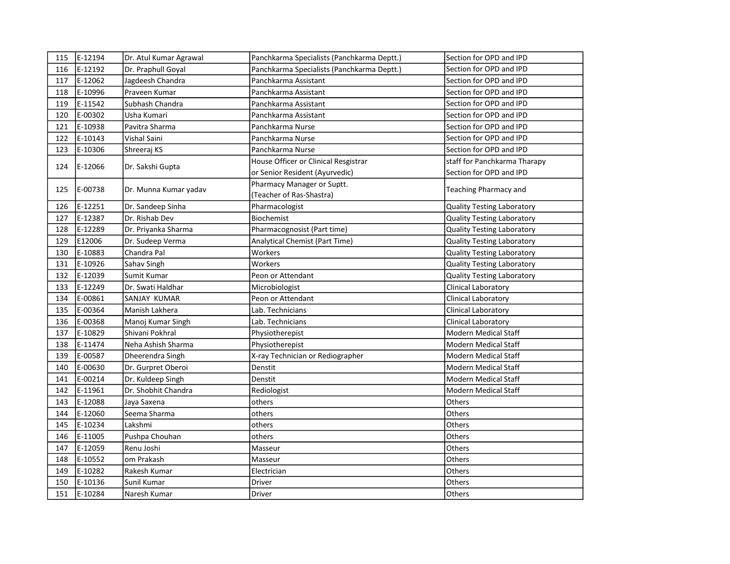| 115 | E-12194 | Dr. Atul Kumar Agrawal | Panchkarma Specialists (Panchkarma Deptt.) | Section for OPD and IPD           |
|-----|---------|------------------------|--------------------------------------------|-----------------------------------|
| 116 | E-12192 | Dr. Praphull Goyal     | Panchkarma Specialists (Panchkarma Deptt.) | Section for OPD and IPD           |
| 117 | E-12062 | Jagdeesh Chandra       | Panchkarma Assistant                       | Section for OPD and IPD           |
| 118 | E-10996 | Praveen Kumar          | Panchkarma Assistant                       | Section for OPD and IPD           |
| 119 | E-11542 | Subhash Chandra        | Panchkarma Assistant                       | Section for OPD and IPD           |
| 120 | E-00302 | Usha Kumari            | Panchkarma Assistant                       | Section for OPD and IPD           |
| 121 | E-10938 | Pavitra Sharma         | Panchkarma Nurse                           | Section for OPD and IPD           |
| 122 | E-10143 | Vishal Saini           | Panchkarma Nurse                           | Section for OPD and IPD           |
| 123 | E-10306 | Shreeraj KS            | Panchkarma Nurse                           | Section for OPD and IPD           |
|     | E-12066 | Dr. Sakshi Gupta       | House Officer or Clinical Resgistrar       | staff for Panchkarma Tharapy      |
| 124 |         |                        | or Senior Resident (Ayurvedic)             | Section for OPD and IPD           |
|     | E-00738 |                        | Pharmacy Manager or Suptt.                 |                                   |
| 125 |         | Dr. Munna Kumar yadav  | (Teacher of Ras-Shastra)                   | Teaching Pharmacy and             |
| 126 | E-12251 | Dr. Sandeep Sinha      | Pharmacologist                             | <b>Quality Testing Laboratory</b> |
| 127 | E-12387 | Dr. Rishab Dev         | Biochemist                                 | Quality Testing Laboratory        |
| 128 | E-12289 | Dr. Priyanka Sharma    | Pharmacognosist (Part time)                | <b>Quality Testing Laboratory</b> |
| 129 | E12006  | Dr. Sudeep Verma       | Analytical Chemist (Part Time)             | <b>Quality Testing Laboratory</b> |
| 130 | E-10883 | Chandra Pal            | Workers                                    | Quality Testing Laboratory        |
| 131 | E-10926 | Sahav Singh            | Workers                                    | Quality Testing Laboratory        |
| 132 | E-12039 | Sumit Kumar            | Peon or Attendant                          | <b>Quality Testing Laboratory</b> |
| 133 | E-12249 | Dr. Swati Haldhar      | Microbiologist                             | Clinical Laboratory               |
| 134 | E-00861 | SANJAY KUMAR           | Peon or Attendant                          | Clinical Laboratory               |
| 135 | E-00364 | Manish Lakhera         | Lab. Technicians                           | Clinical Laboratory               |
| 136 | E-00368 | Manoj Kumar Singh      | Lab. Technicians                           | Clinical Laboratory               |
| 137 | E-10829 | Shivani Pokhral        | Physiotherepist                            | Modern Medical Staff              |
| 138 | E-11474 | Neha Ashish Sharma     | Physiotherepist                            | <b>Modern Medical Staff</b>       |
| 139 | E-00587 | Dheerendra Singh       | X-ray Technician or Rediographer           | <b>Modern Medical Staff</b>       |
| 140 | E-00630 | Dr. Gurpret Oberoi     | Denstit                                    | Modern Medical Staff              |
| 141 | E-00214 | Dr. Kuldeep Singh      | Denstit                                    | <b>Modern Medical Staff</b>       |
| 142 | E-11961 | Dr. Shobhit Chandra    | Rediologist                                | Modern Medical Staff              |
| 143 | E-12088 | Jaya Saxena            | others                                     | Others                            |
| 144 | E-12060 | Seema Sharma           | others                                     | Others                            |
| 145 | E-10234 | Lakshmi                | others                                     | Others                            |
| 146 | E-11005 | Pushpa Chouhan         | others                                     | Others                            |
| 147 | E-12059 | Renu Joshi             | Masseur                                    | Others                            |
| 148 | E-10552 | om Prakash             | Masseur                                    | Others                            |
| 149 | E-10282 | Rakesh Kumar           | Electrician                                | Others                            |
| 150 | E-10136 | Sunil Kumar            | Driver                                     | Others                            |
| 151 | E-10284 | Naresh Kumar           | Driver                                     | Others                            |